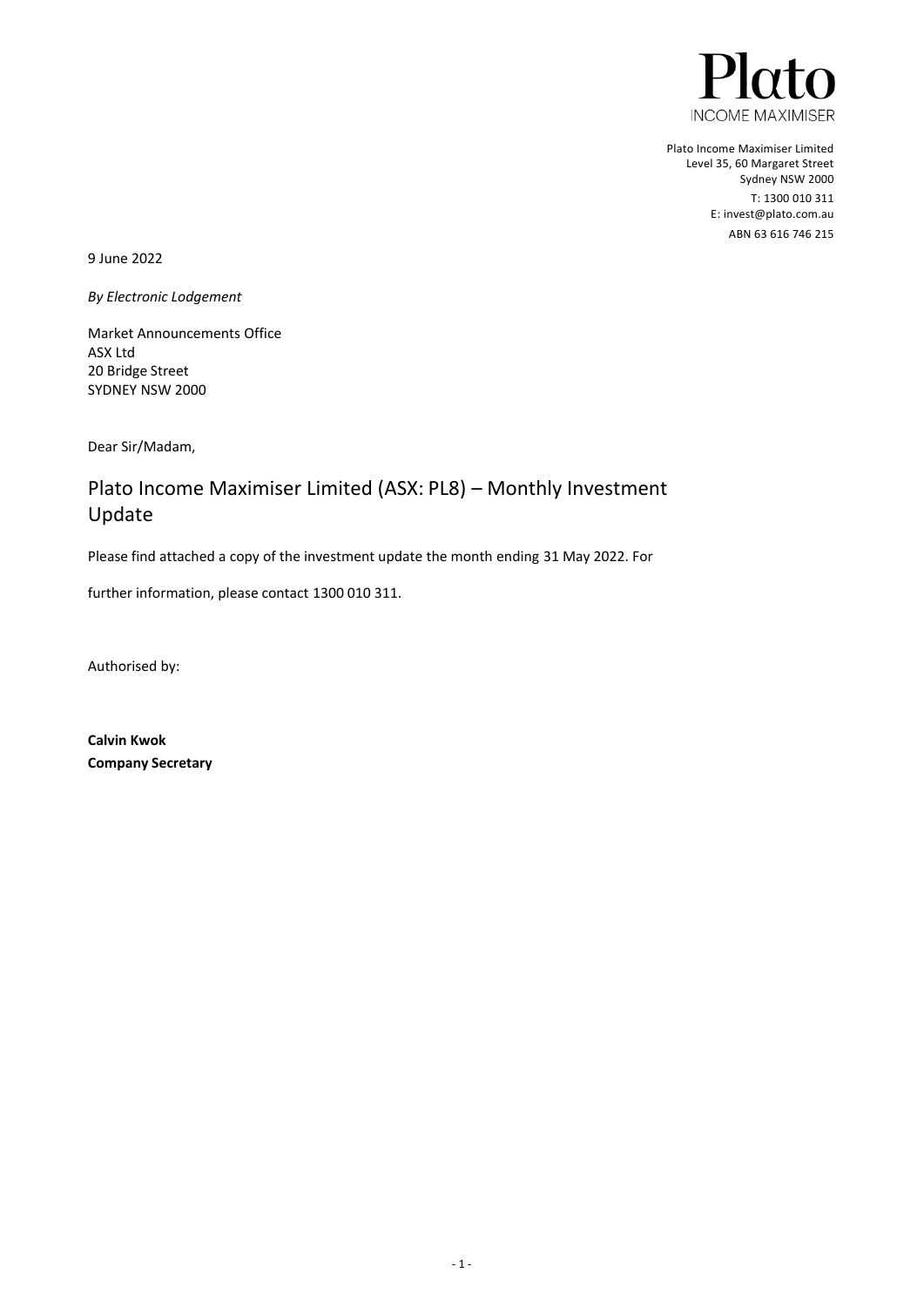

Plato Income Maximiser Limited Level 35, 60 Margaret Street Sydney NSW 2000 T: 1300 010 311 E[: invest@plato.com.au](file://///AESIR/Work/_CLIENTS/FABRIC%20-%20Pinnacle%20Investments/Plato%20Maximiser/invest@plato.com.au) ABN 63 616 746 215

9 June 2022

*By Electronic Lodgement* 

Market Announcements Office ASX Ltd 20 Bridge Street SYDNEY NSW 2000

Dear Sir/Madam,

# Plato Income Maximiser Limited (ASX: PL8) – Monthly Investment Update

Please find attached a copy of the investment update the month ending 31 May 2022. For

further information, please contact 1300 010 311.

Authorised by:

**Calvin Kwok Company Secretary**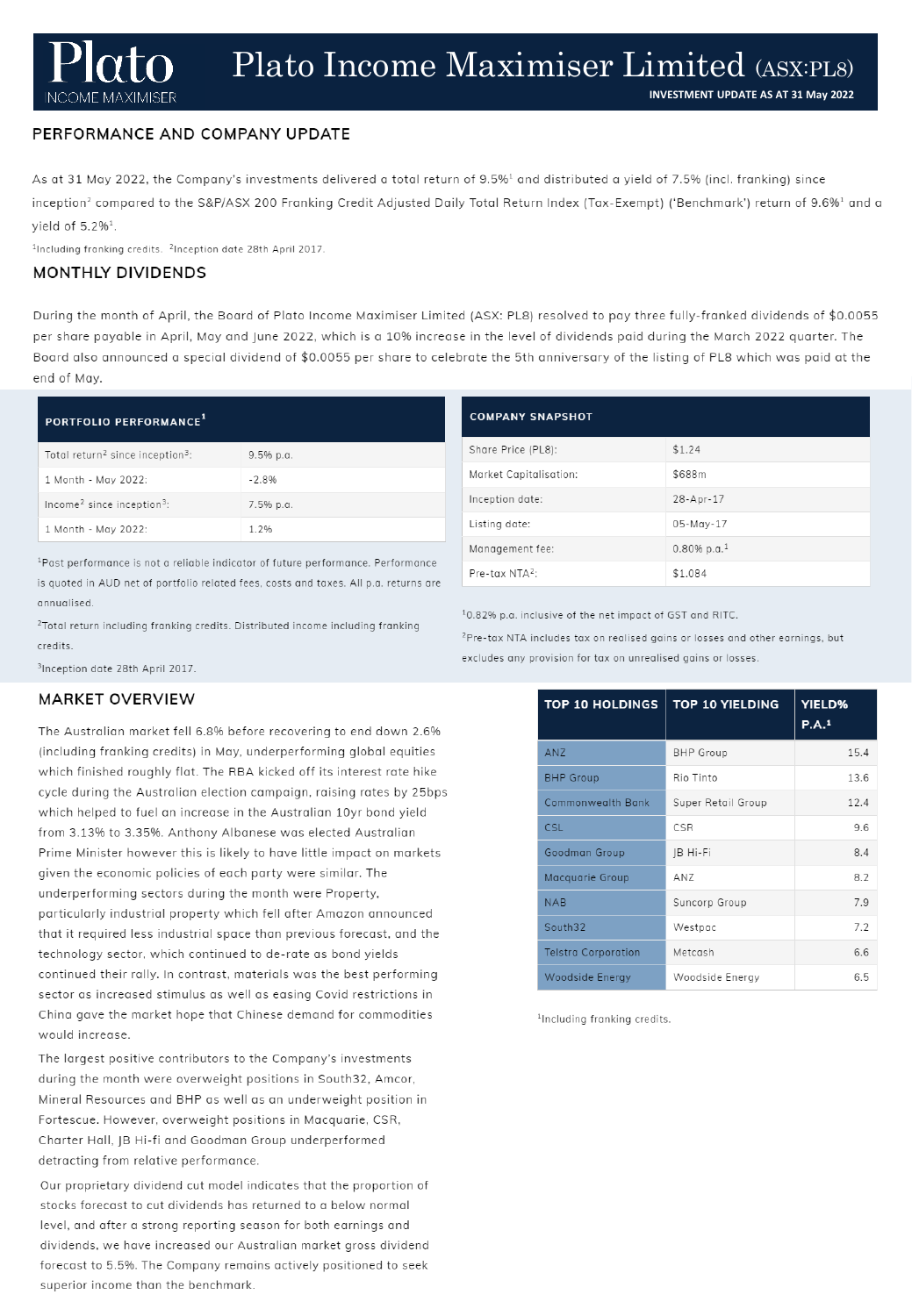**INCOME MAXIMISER** 

## PERFORMANCE AND COMPANY UPDATE

As at 31 May 2022, the Company's investments delivered a total return of 9.5%<sup>1</sup> and distributed a yield of 7.5% (incl. franking) since inception<sup>2</sup> compared to the S&P/ASX 200 Franking Credit Adjusted Daily Total Return Index (Tax-Exempt) ('Benchmark') return of 9.6%<sup>1</sup> and a yield of  $5.2\%$ <sup>1</sup>.

<sup>1</sup>Including franking credits. <sup>2</sup>Inception date 28th April 2017.

#### **MONTHLY DIVIDENDS**

During the month of April, the Board of Plato Income Maximiser Limited (ASX: PL8) resolved to pay three fully-franked dividends of \$0.0055 per share payable in April, May and June 2022, which is a 10% increase in the level of dividends paid during the March 2022 quarter. The Board also announced a special dividend of \$0.0055 per share to celebrate the 5th anniversary of the listing of PL8 which was paid at the end of May.

### PORTFOLIO PERFORMANCE<sup>1</sup>

| Total return <sup>2</sup> since inception <sup>3</sup> : | $9.5%$ p.a. |
|----------------------------------------------------------|-------------|
| 1 Month - May 2022:                                      | $-2.8%$     |
| Income <sup>2</sup> since inception <sup>3</sup> :       | 7.5% p.a.   |
| 1 Month - May 2022:                                      | 1.2%        |

<sup>1</sup>Past performance is not a reliable indicator of future performance. Performance is quoted in AUD net of portfolio related fees, costs and taxes. All p.a. returns are annualised.

<sup>2</sup>Total return including franking credits. Distributed income including franking credits.

<sup>3</sup>Inception date 28th April 2017.

#### **MARKET OVERVIEW**

The Australian market fell 6.8% before recovering to end down 2.6% (including franking credits) in May, underperforming global equities which finished roughly flat. The RBA kicked off its interest rate hike cycle during the Australian election campaign, raising rates by 25bps which helped to fuel an increase in the Australian 10yr bond yield from 3.13% to 3.35%. Anthony Albanese was elected Australian Prime Minister however this is likely to have little impact on markets given the economic policies of each party were similar. The underperforming sectors during the month were Property, particularly industrial property which fell after Amazon announced that it required less industrial space than previous forecast, and the technology sector, which continued to de-rate as bond yields continued their rally. In contrast, materials was the best performing sector as increased stimulus as well as easing Covid restrictions in China gave the market hope that Chinese demand for commodities would increase.

The largest positive contributors to the Company's investments during the month were overweight positions in South32, Amcor, Mineral Resources and BHP as well as an underweight position in Fortescue. However, overweight positions in Macquarie, CSR, Charter Hall, JB Hi-fi and Goodman Group underperformed detracting from relative performance.

Our proprietary dividend cut model indicates that the proportion of stocks forecast to cut dividends has returned to a below normal level, and after a strong reporting season for both earnings and dividends, we have increased our Australian market gross dividend forecast to 5.5%. The Company remains actively positioned to seek superior income than the benchmark.

| <b>COMPANY SNAPSHOT</b> |                            |  |  |  |
|-------------------------|----------------------------|--|--|--|
| Share Price (PL8):      | \$1.24                     |  |  |  |
| Market Capitalisation:  | \$688m                     |  |  |  |
| Inception date:         | 28-Apr-17                  |  |  |  |
| Listing date:           | 05-May-17                  |  |  |  |
| Management fee:         | $0.80\%$ p.a. <sup>1</sup> |  |  |  |
| $Pre-tax NTA2$ :        | \$1,084                    |  |  |  |

10.82% p.a. inclusive of the net impact of GST and RITC.

<sup>2</sup>Pre-tax NTA includes tax on realised gains or losses and other earnings, but excludes any provision for tax on unrealised gains or losses.

| <b>TOP 10 HOLDINGS</b>     | <b>TOP 10 YIELDING</b> | <b>YIELD%</b><br>P.A. <sup>1</sup> |
|----------------------------|------------------------|------------------------------------|
| <b>ANZ</b>                 | <b>BHP</b> Group       | 15.4                               |
| <b>BHP</b> Group           | Rio Tinto              | 13.6                               |
| Commonwealth Bank          | Super Retail Group     | 12.4                               |
| <b>CSL</b>                 | CSR                    | 9.6                                |
| Goodman Group              | JB Hi-Fi               | 8.4                                |
| Macquarie Group            | AN7                    | 8.2                                |
| <b>NAB</b>                 | Suncorp Group          | 7.9                                |
| South32                    | Westpac                | 7.2                                |
| <b>Telstra Corporation</b> | Metcash                | 6.6                                |
| Woodside Energy            | Woodside Energy        | 6.5                                |

<sup>1</sup>Including franking credits.